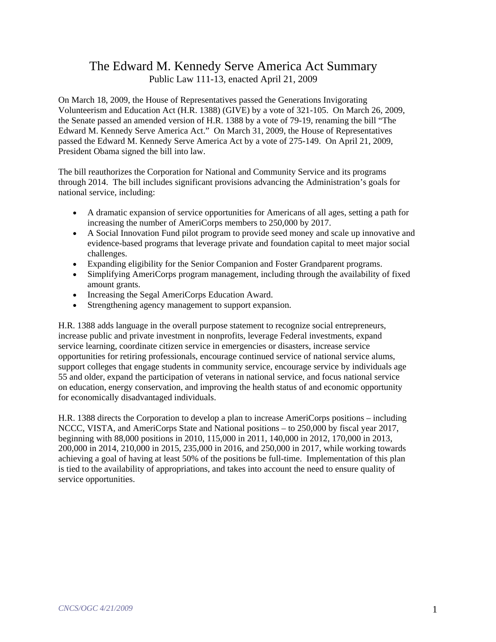# The Edward M. Kennedy Serve America Act Summary Public Law 111-13, enacted April 21, 2009

On March 18, 2009, the House of Representatives passed the Generations Invigorating Volunteerism and Education Act (H.R. 1388) (GIVE) by a vote of 321-105. On March 26, 2009, the Senate passed an amended version of H.R. 1388 by a vote of 79-19, renaming the bill "The Edward M. Kennedy Serve America Act." On March 31, 2009, the House of Representatives passed the Edward M. Kennedy Serve America Act by a vote of 275-149. On April 21, 2009, President Obama signed the bill into law.

The bill reauthorizes the Corporation for National and Community Service and its programs through 2014. The bill includes significant provisions advancing the Administration's goals for national service, including:

- A dramatic expansion of service opportunities for Americans of all ages, setting a path for increasing the number of AmeriCorps members to 250,000 by 2017.
- A Social Innovation Fund pilot program to provide seed money and scale up innovative and evidence-based programs that leverage private and foundation capital to meet major social challenges.
- Expanding eligibility for the Senior Companion and Foster Grandparent programs.
- Simplifying AmeriCorps program management, including through the availability of fixed amount grants.
- Increasing the Segal AmeriCorps Education Award.
- Strengthening agency management to support expansion.

H.R. 1388 adds language in the overall purpose statement to recognize social entrepreneurs, increase public and private investment in nonprofits, leverage Federal investments, expand service learning, coordinate citizen service in emergencies or disasters, increase service opportunities for retiring professionals, encourage continued service of national service alums, support colleges that engage students in community service, encourage service by individuals age 55 and older, expand the participation of veterans in national service, and focus national service on education, energy conservation, and improving the health status of and economic opportunity for economically disadvantaged individuals.

H.R. 1388 directs the Corporation to develop a plan to increase AmeriCorps positions – including NCCC, VISTA, and AmeriCorps State and National positions – to 250,000 by fiscal year 2017, beginning with 88,000 positions in 2010, 115,000 in 2011, 140,000 in 2012, 170,000 in 2013, 200,000 in 2014, 210,000 in 2015, 235,000 in 2016, and 250,000 in 2017, while working towards achieving a goal of having at least 50% of the positions be full-time. Implementation of this plan is tied to the availability of appropriations, and takes into account the need to ensure quality of service opportunities.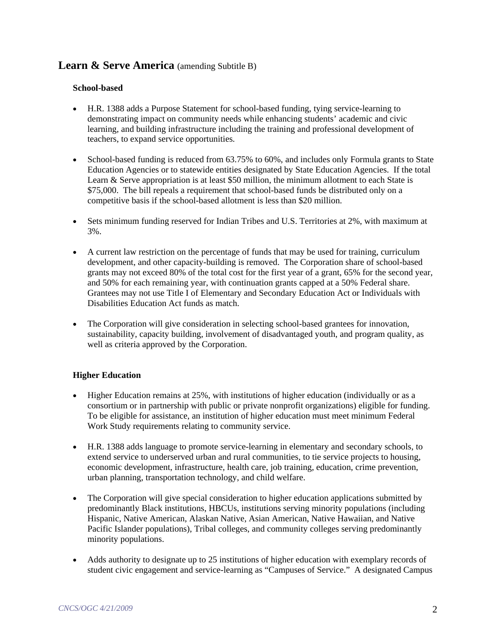## Learn & Serve America (amending Subtitle B)

### **School-based**

- H.R. 1388 adds a Purpose Statement for school-based funding, tying service-learning to demonstrating impact on community needs while enhancing students' academic and civic learning, and building infrastructure including the training and professional development of teachers, to expand service opportunities.
- School-based funding is reduced from 63.75% to 60%, and includes only Formula grants to State Education Agencies or to statewide entities designated by State Education Agencies. If the total Learn & Serve appropriation is at least \$50 million, the minimum allotment to each State is \$75,000. The bill repeals a requirement that school-based funds be distributed only on a competitive basis if the school-based allotment is less than \$20 million.
- Sets minimum funding reserved for Indian Tribes and U.S. Territories at 2%, with maximum at 3%.
- A current law restriction on the percentage of funds that may be used for training, curriculum development, and other capacity-building is removed. The Corporation share of school-based grants may not exceed 80% of the total cost for the first year of a grant, 65% for the second year, and 50% for each remaining year, with continuation grants capped at a 50% Federal share. Grantees may not use Title I of Elementary and Secondary Education Act or Individuals with Disabilities Education Act funds as match.
- The Corporation will give consideration in selecting school-based grantees for innovation, sustainability, capacity building, involvement of disadvantaged youth, and program quality, as well as criteria approved by the Corporation.

## **Higher Education**

- Higher Education remains at 25%, with institutions of higher education (individually or as a consortium or in partnership with public or private nonprofit organizations) eligible for funding. To be eligible for assistance, an institution of higher education must meet minimum Federal Work Study requirements relating to community service.
- H.R. 1388 adds language to promote service-learning in elementary and secondary schools, to extend service to underserved urban and rural communities, to tie service projects to housing, economic development, infrastructure, health care, job training, education, crime prevention, urban planning, transportation technology, and child welfare.
- The Corporation will give special consideration to higher education applications submitted by predominantly Black institutions, HBCUs, institutions serving minority populations (including Hispanic, Native American, Alaskan Native, Asian American, Native Hawaiian, and Native Pacific Islander populations), Tribal colleges, and community colleges serving predominantly minority populations.
- Adds authority to designate up to 25 institutions of higher education with exemplary records of student civic engagement and service-learning as "Campuses of Service." A designated Campus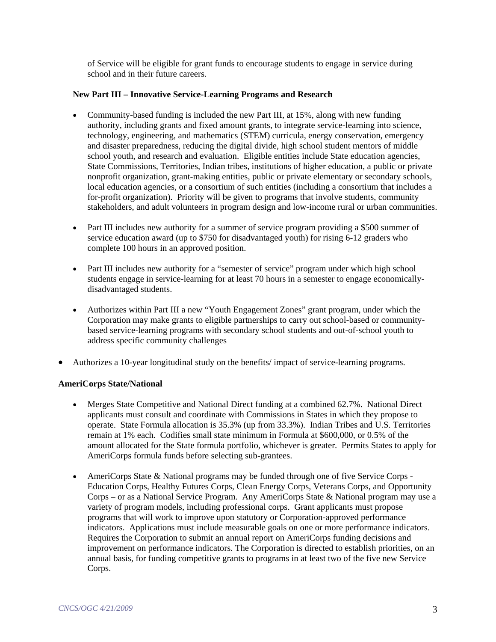of Service will be eligible for grant funds to encourage students to engage in service during school and in their future careers.

#### **New Part III – Innovative Service-Learning Programs and Research**

- Community-based funding is included the new Part III, at 15%, along with new funding authority, including grants and fixed amount grants, to integrate service-learning into science, technology, engineering, and mathematics (STEM) curricula, energy conservation, emergency and disaster preparedness, reducing the digital divide, high school student mentors of middle school youth, and research and evaluation. Eligible entities include State education agencies, State Commissions, Territories, Indian tribes, institutions of higher education, a public or private nonprofit organization, grant-making entities, public or private elementary or secondary schools, local education agencies, or a consortium of such entities (including a consortium that includes a for-profit organization). Priority will be given to programs that involve students, community stakeholders, and adult volunteers in program design and low-income rural or urban communities.
- Part III includes new authority for a summer of service program providing a \$500 summer of service education award (up to \$750 for disadvantaged youth) for rising 6-12 graders who complete 100 hours in an approved position.
- Part III includes new authority for a "semester of service" program under which high school students engage in service-learning for at least 70 hours in a semester to engage economicallydisadvantaged students.
- Authorizes within Part III a new "Youth Engagement Zones" grant program, under which the Corporation may make grants to eligible partnerships to carry out school-based or communitybased service-learning programs with secondary school students and out-of-school youth to address specific community challenges
- Authorizes a 10-year longitudinal study on the benefits/ impact of service-learning programs.

## **AmeriCorps State/National**

- Merges State Competitive and National Direct funding at a combined 62.7%. National Direct applicants must consult and coordinate with Commissions in States in which they propose to operate. State Formula allocation is 35.3% (up from 33.3%). Indian Tribes and U.S. Territories remain at 1% each. Codifies small state minimum in Formula at \$600,000, or 0.5% of the amount allocated for the State formula portfolio, whichever is greater. Permits States to apply for AmeriCorps formula funds before selecting sub-grantees.
- AmeriCorps State & National programs may be funded through one of five Service Corps Education Corps, Healthy Futures Corps, Clean Energy Corps, Veterans Corps, and Opportunity Corps – or as a National Service Program. Any AmeriCorps State & National program may use a variety of program models, including professional corps. Grant applicants must propose programs that will work to improve upon statutory or Corporation-approved performance indicators. Applications must include measurable goals on one or more performance indicators. Requires the Corporation to submit an annual report on AmeriCorps funding decisions and improvement on performance indicators. The Corporation is directed to establish priorities, on an annual basis, for funding competitive grants to programs in at least two of the five new Service Corps.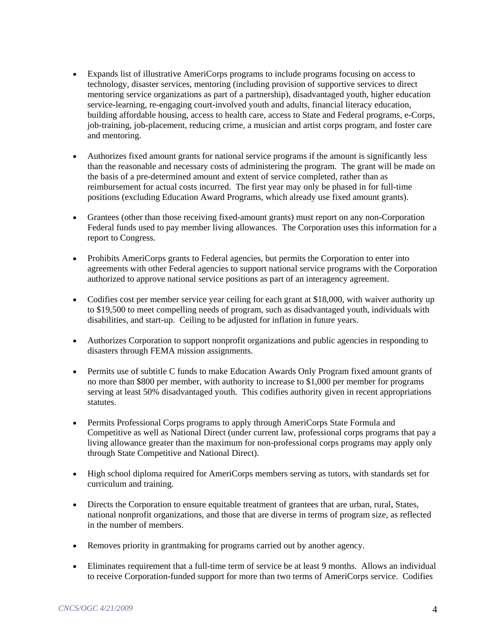- Expands list of illustrative AmeriCorps programs to include programs focusing on access to technology, disaster services, mentoring (including provision of supportive services to direct mentoring service organizations as part of a partnership), disadvantaged youth, higher education service-learning, re-engaging court-involved youth and adults, financial literacy education, building affordable housing, access to health care, access to State and Federal programs, e-Corps, job-training, job-placement, reducing crime, a musician and artist corps program, and foster care and mentoring.
- Authorizes fixed amount grants for national service programs if the amount is significantly less than the reasonable and necessary costs of administering the program. The grant will be made on the basis of a pre-determined amount and extent of service completed, rather than as reimbursement for actual costs incurred. The first year may only be phased in for full-time positions (excluding Education Award Programs, which already use fixed amount grants).
- Grantees (other than those receiving fixed-amount grants) must report on any non-Corporation Federal funds used to pay member living allowances. The Corporation uses this information for a report to Congress.
- Prohibits AmeriCorps grants to Federal agencies, but permits the Corporation to enter into agreements with other Federal agencies to support national service programs with the Corporation authorized to approve national service positions as part of an interagency agreement.
- Codifies cost per member service year ceiling for each grant at \$18,000, with waiver authority up to \$19,500 to meet compelling needs of program, such as disadvantaged youth, individuals with disabilities, and start-up. Ceiling to be adjusted for inflation in future years.
- Authorizes Corporation to support nonprofit organizations and public agencies in responding to disasters through FEMA mission assignments.
- Permits use of subtitle C funds to make Education Awards Only Program fixed amount grants of no more than \$800 per member, with authority to increase to \$1,000 per member for programs serving at least 50% disadvantaged youth. This codifies authority given in recent appropriations statutes.
- Permits Professional Corps programs to apply through AmeriCorps State Formula and Competitive as well as National Direct (under current law, professional corps programs that pay a living allowance greater than the maximum for non-professional corps programs may apply only through State Competitive and National Direct).
- High school diploma required for AmeriCorps members serving as tutors, with standards set for curriculum and training.
- Directs the Corporation to ensure equitable treatment of grantees that are urban, rural, States, national nonprofit organizations, and those that are diverse in terms of program size, as reflected in the number of members.
- Removes priority in grantmaking for programs carried out by another agency.
- Eliminates requirement that a full-time term of service be at least 9 months. Allows an individual to receive Corporation-funded support for more than two terms of AmeriCorps service. Codifies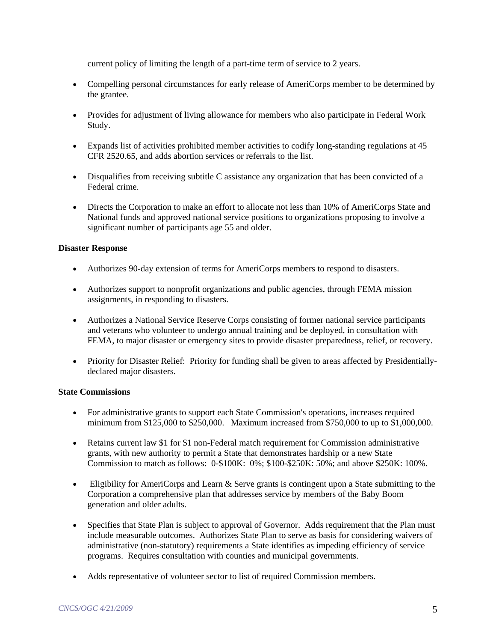current policy of limiting the length of a part-time term of service to 2 years.

- Compelling personal circumstances for early release of AmeriCorps member to be determined by the grantee.
- Provides for adjustment of living allowance for members who also participate in Federal Work Study.
- Expands list of activities prohibited member activities to codify long-standing regulations at 45 CFR 2520.65, and adds abortion services or referrals to the list.
- Disqualifies from receiving subtitle C assistance any organization that has been convicted of a Federal crime.
- Directs the Corporation to make an effort to allocate not less than 10% of AmeriCorps State and National funds and approved national service positions to organizations proposing to involve a significant number of participants age 55 and older.

#### **Disaster Response**

- Authorizes 90-day extension of terms for AmeriCorps members to respond to disasters.
- Authorizes support to nonprofit organizations and public agencies, through FEMA mission assignments, in responding to disasters.
- Authorizes a National Service Reserve Corps consisting of former national service participants and veterans who volunteer to undergo annual training and be deployed, in consultation with FEMA, to major disaster or emergency sites to provide disaster preparedness, relief, or recovery.
- Priority for Disaster Relief: Priority for funding shall be given to areas affected by Presidentiallydeclared major disasters.

#### **State Commissions**

- For administrative grants to support each State Commission's operations, increases required minimum from \$125,000 to \$250,000. Maximum increased from \$750,000 to up to \$1,000,000.
- Retains current law \$1 for \$1 non-Federal match requirement for Commission administrative grants, with new authority to permit a State that demonstrates hardship or a new State Commission to match as follows: 0-\$100K: 0%; \$100-\$250K: 50%; and above \$250K: 100%.
- Eligibility for AmeriCorps and Learn & Serve grants is contingent upon a State submitting to the Corporation a comprehensive plan that addresses service by members of the Baby Boom generation and older adults.
- Specifies that State Plan is subject to approval of Governor. Adds requirement that the Plan must include measurable outcomes. Authorizes State Plan to serve as basis for considering waivers of administrative (non-statutory) requirements a State identifies as impeding efficiency of service programs. Requires consultation with counties and municipal governments.
- Adds representative of volunteer sector to list of required Commission members.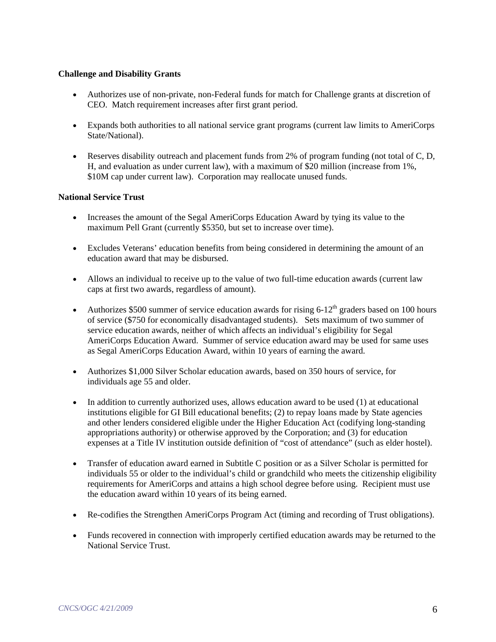### **Challenge and Disability Grants**

- Authorizes use of non-private, non-Federal funds for match for Challenge grants at discretion of CEO. Match requirement increases after first grant period.
- Expands both authorities to all national service grant programs (current law limits to AmeriCorps State/National).
- Reserves disability outreach and placement funds from 2% of program funding (not total of C, D, H, and evaluation as under current law), with a maximum of \$20 million (increase from 1%, \$10M cap under current law). Corporation may reallocate unused funds.

## **National Service Trust**

- Increases the amount of the Segal AmeriCorps Education Award by tying its value to the maximum Pell Grant (currently \$5350, but set to increase over time).
- Excludes Veterans' education benefits from being considered in determining the amount of an education award that may be disbursed.
- Allows an individual to receive up to the value of two full-time education awards (current law caps at first two awards, regardless of amount).
- Authorizes \$500 summer of service education awards for rising  $6-12<sup>th</sup>$  graders based on 100 hours of service (\$750 for economically disadvantaged students). Sets maximum of two summer of service education awards, neither of which affects an individual's eligibility for Segal AmeriCorps Education Award. Summer of service education award may be used for same uses as Segal AmeriCorps Education Award, within 10 years of earning the award.
- Authorizes \$1,000 Silver Scholar education awards, based on 350 hours of service, for individuals age 55 and older.
- In addition to currently authorized uses, allows education award to be used (1) at educational institutions eligible for GI Bill educational benefits; (2) to repay loans made by State agencies and other lenders considered eligible under the Higher Education Act (codifying long-standing appropriations authority) or otherwise approved by the Corporation; and (3) for education expenses at a Title IV institution outside definition of "cost of attendance" (such as elder hostel).
- Transfer of education award earned in Subtitle C position or as a Silver Scholar is permitted for individuals 55 or older to the individual's child or grandchild who meets the citizenship eligibility requirements for AmeriCorps and attains a high school degree before using. Recipient must use the education award within 10 years of its being earned.
- Re-codifies the Strengthen AmeriCorps Program Act (timing and recording of Trust obligations).
- Funds recovered in connection with improperly certified education awards may be returned to the National Service Trust.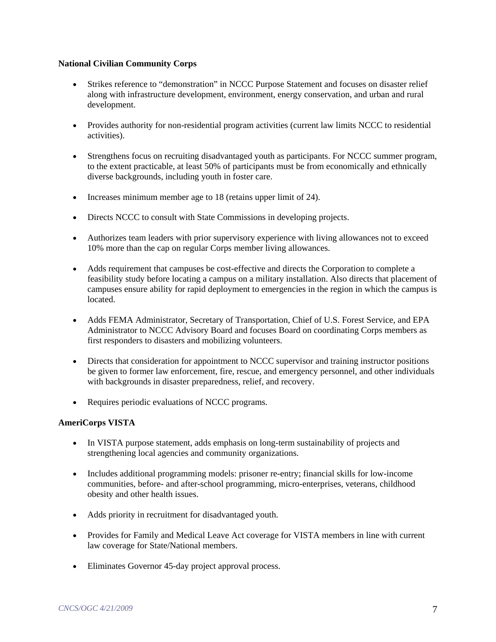#### **National Civilian Community Corps**

- Strikes reference to "demonstration" in NCCC Purpose Statement and focuses on disaster relief along with infrastructure development, environment, energy conservation, and urban and rural development.
- Provides authority for non-residential program activities (current law limits NCCC to residential activities).
- Strengthens focus on recruiting disadvantaged youth as participants. For NCCC summer program, to the extent practicable, at least 50% of participants must be from economically and ethnically diverse backgrounds, including youth in foster care.
- Increases minimum member age to 18 (retains upper limit of 24).
- Directs NCCC to consult with State Commissions in developing projects.
- Authorizes team leaders with prior supervisory experience with living allowances not to exceed 10% more than the cap on regular Corps member living allowances.
- Adds requirement that campuses be cost-effective and directs the Corporation to complete a feasibility study before locating a campus on a military installation. Also directs that placement of campuses ensure ability for rapid deployment to emergencies in the region in which the campus is located.
- Adds FEMA Administrator, Secretary of Transportation, Chief of U.S. Forest Service, and EPA Administrator to NCCC Advisory Board and focuses Board on coordinating Corps members as first responders to disasters and mobilizing volunteers.
- Directs that consideration for appointment to NCCC supervisor and training instructor positions be given to former law enforcement, fire, rescue, and emergency personnel, and other individuals with backgrounds in disaster preparedness, relief, and recovery.
- Requires periodic evaluations of NCCC programs.

#### **AmeriCorps VISTA**

- In VISTA purpose statement, adds emphasis on long-term sustainability of projects and strengthening local agencies and community organizations.
- Includes additional programming models: prisoner re-entry; financial skills for low-income communities, before- and after-school programming, micro-enterprises, veterans, childhood obesity and other health issues.
- Adds priority in recruitment for disadvantaged youth.
- Provides for Family and Medical Leave Act coverage for VISTA members in line with current law coverage for State/National members.
- Eliminates Governor 45-day project approval process.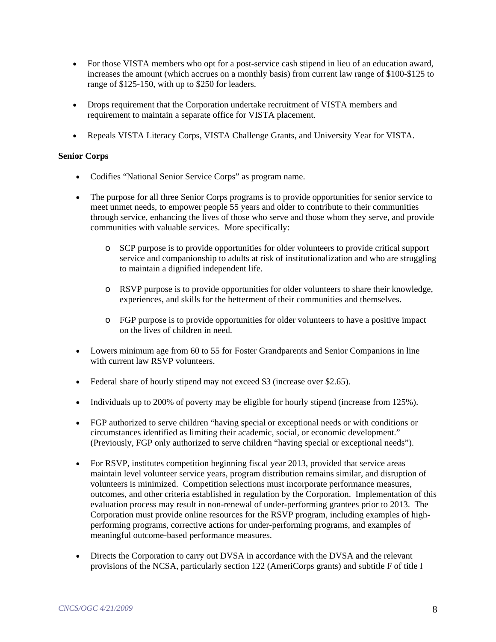- For those VISTA members who opt for a post-service cash stipend in lieu of an education award, increases the amount (which accrues on a monthly basis) from current law range of \$100-\$125 to range of \$125-150, with up to \$250 for leaders.
- Drops requirement that the Corporation undertake recruitment of VISTA members and requirement to maintain a separate office for VISTA placement.
- Repeals VISTA Literacy Corps, VISTA Challenge Grants, and University Year for VISTA.

## **Senior Corps**

- Codifies "National Senior Service Corps" as program name.
- The purpose for all three Senior Corps programs is to provide opportunities for senior service to meet unmet needs, to empower people 55 years and older to contribute to their communities through service, enhancing the lives of those who serve and those whom they serve, and provide communities with valuable services. More specifically:
	- o SCP purpose is to provide opportunities for older volunteers to provide critical support service and companionship to adults at risk of institutionalization and who are struggling to maintain a dignified independent life.
	- o RSVP purpose is to provide opportunities for older volunteers to share their knowledge, experiences, and skills for the betterment of their communities and themselves.
	- o FGP purpose is to provide opportunities for older volunteers to have a positive impact on the lives of children in need.
- Lowers minimum age from 60 to 55 for Foster Grandparents and Senior Companions in line with current law RSVP volunteers.
- Federal share of hourly stipend may not exceed \$3 (increase over \$2.65).
- Individuals up to 200% of poverty may be eligible for hourly stipend (increase from 125%).
- FGP authorized to serve children "having special or exceptional needs or with conditions or circumstances identified as limiting their academic, social, or economic development." (Previously, FGP only authorized to serve children "having special or exceptional needs").
- For RSVP, institutes competition beginning fiscal year 2013, provided that service areas maintain level volunteer service years, program distribution remains similar, and disruption of volunteers is minimized. Competition selections must incorporate performance measures, outcomes, and other criteria established in regulation by the Corporation. Implementation of this evaluation process may result in non-renewal of under-performing grantees prior to 2013. The Corporation must provide online resources for the RSVP program, including examples of highperforming programs, corrective actions for under-performing programs, and examples of meaningful outcome-based performance measures.
- Directs the Corporation to carry out DVSA in accordance with the DVSA and the relevant provisions of the NCSA, particularly section 122 (AmeriCorps grants) and subtitle F of title I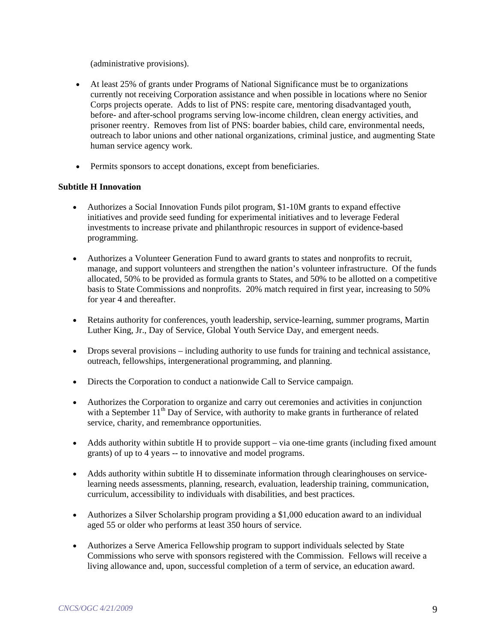(administrative provisions).

- At least 25% of grants under Programs of National Significance must be to organizations currently not receiving Corporation assistance and when possible in locations where no Senior Corps projects operate. Adds to list of PNS: respite care, mentoring disadvantaged youth, before- and after-school programs serving low-income children, clean energy activities, and prisoner reentry. Removes from list of PNS: boarder babies, child care, environmental needs, outreach to labor unions and other national organizations, criminal justice, and augmenting State human service agency work.
- Permits sponsors to accept donations, except from beneficiaries.

## **Subtitle H Innovation**

- Authorizes a Social Innovation Funds pilot program, \$1-10M grants to expand effective initiatives and provide seed funding for experimental initiatives and to leverage Federal investments to increase private and philanthropic resources in support of evidence-based programming.
- Authorizes a Volunteer Generation Fund to award grants to states and nonprofits to recruit, manage, and support volunteers and strengthen the nation's volunteer infrastructure. Of the funds allocated, 50% to be provided as formula grants to States, and 50% to be allotted on a competitive basis to State Commissions and nonprofits. 20% match required in first year, increasing to 50% for year 4 and thereafter.
- Retains authority for conferences, youth leadership, service-learning, summer programs, Martin Luther King, Jr., Day of Service, Global Youth Service Day, and emergent needs.
- Drops several provisions including authority to use funds for training and technical assistance, outreach, fellowships, intergenerational programming, and planning.
- Directs the Corporation to conduct a nationwide Call to Service campaign.
- Authorizes the Corporation to organize and carry out ceremonies and activities in conjunction with a September  $11<sup>th</sup>$  Day of Service, with authority to make grants in furtherance of related service, charity, and remembrance opportunities.
- Adds authority within subtitle H to provide support via one-time grants (including fixed amount grants) of up to 4 years -- to innovative and model programs.
- Adds authority within subtitle H to disseminate information through clearinghouses on servicelearning needs assessments, planning, research, evaluation, leadership training, communication, curriculum, accessibility to individuals with disabilities, and best practices.
- Authorizes a Silver Scholarship program providing a \$1,000 education award to an individual aged 55 or older who performs at least 350 hours of service.
- Authorizes a Serve America Fellowship program to support individuals selected by State Commissions who serve with sponsors registered with the Commission. Fellows will receive a living allowance and, upon, successful completion of a term of service, an education award.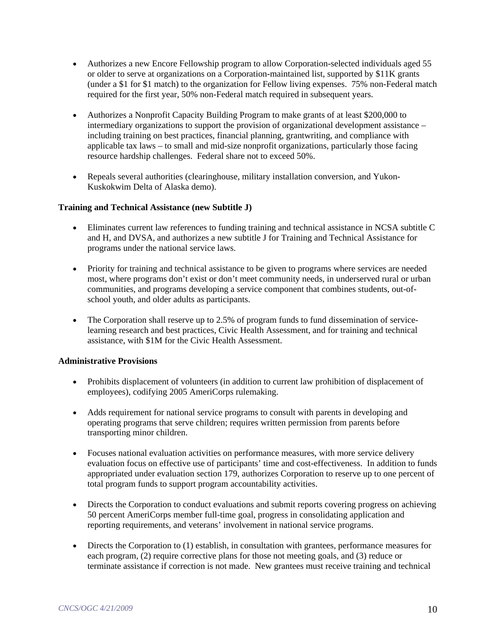- Authorizes a new Encore Fellowship program to allow Corporation-selected individuals aged 55 or older to serve at organizations on a Corporation-maintained list, supported by \$11K grants (under a \$1 for \$1 match) to the organization for Fellow living expenses. 75% non-Federal match required for the first year, 50% non-Federal match required in subsequent years.
- Authorizes a Nonprofit Capacity Building Program to make grants of at least \$200,000 to intermediary organizations to support the provision of organizational development assistance – including training on best practices, financial planning, grantwriting, and compliance with applicable tax laws – to small and mid-size nonprofit organizations, particularly those facing resource hardship challenges. Federal share not to exceed 50%.
- Repeals several authorities (clearinghouse, military installation conversion, and Yukon-Kuskokwim Delta of Alaska demo).

#### **Training and Technical Assistance (new Subtitle J)**

- Eliminates current law references to funding training and technical assistance in NCSA subtitle C and H, and DVSA, and authorizes a new subtitle J for Training and Technical Assistance for programs under the national service laws.
- Priority for training and technical assistance to be given to programs where services are needed most, where programs don't exist or don't meet community needs, in underserved rural or urban communities, and programs developing a service component that combines students, out-ofschool youth, and older adults as participants.
- The Corporation shall reserve up to 2.5% of program funds to fund dissemination of servicelearning research and best practices, Civic Health Assessment, and for training and technical assistance, with \$1M for the Civic Health Assessment.

#### **Administrative Provisions**

- Prohibits displacement of volunteers (in addition to current law prohibition of displacement of employees), codifying 2005 AmeriCorps rulemaking.
- Adds requirement for national service programs to consult with parents in developing and operating programs that serve children; requires written permission from parents before transporting minor children.
- Focuses national evaluation activities on performance measures, with more service delivery evaluation focus on effective use of participants' time and cost-effectiveness. In addition to funds appropriated under evaluation section 179, authorizes Corporation to reserve up to one percent of total program funds to support program accountability activities.
- Directs the Corporation to conduct evaluations and submit reports covering progress on achieving 50 percent AmeriCorps member full-time goal, progress in consolidating application and reporting requirements, and veterans' involvement in national service programs.
- Directs the Corporation to (1) establish, in consultation with grantees, performance measures for each program, (2) require corrective plans for those not meeting goals, and (3) reduce or terminate assistance if correction is not made. New grantees must receive training and technical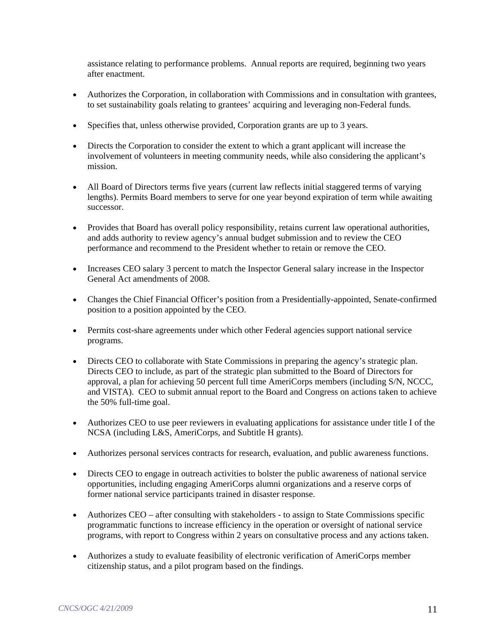assistance relating to performance problems. Annual reports are required, beginning two years after enactment.

- Authorizes the Corporation, in collaboration with Commissions and in consultation with grantees, to set sustainability goals relating to grantees' acquiring and leveraging non-Federal funds.
- Specifies that, unless otherwise provided, Corporation grants are up to 3 years.
- Directs the Corporation to consider the extent to which a grant applicant will increase the involvement of volunteers in meeting community needs, while also considering the applicant's mission.
- All Board of Directors terms five years (current law reflects initial staggered terms of varying lengths). Permits Board members to serve for one year beyond expiration of term while awaiting successor.
- Provides that Board has overall policy responsibility, retains current law operational authorities, and adds authority to review agency's annual budget submission and to review the CEO performance and recommend to the President whether to retain or remove the CEO.
- Increases CEO salary 3 percent to match the Inspector General salary increase in the Inspector General Act amendments of 2008.
- Changes the Chief Financial Officer's position from a Presidentially-appointed, Senate-confirmed position to a position appointed by the CEO.
- Permits cost-share agreements under which other Federal agencies support national service programs.
- Directs CEO to collaborate with State Commissions in preparing the agency's strategic plan. Directs CEO to include, as part of the strategic plan submitted to the Board of Directors for approval, a plan for achieving 50 percent full time AmeriCorps members (including S/N, NCCC, and VISTA). CEO to submit annual report to the Board and Congress on actions taken to achieve the 50% full-time goal.
- Authorizes CEO to use peer reviewers in evaluating applications for assistance under title I of the NCSA (including L&S, AmeriCorps, and Subtitle H grants).
- Authorizes personal services contracts for research, evaluation, and public awareness functions.
- Directs CEO to engage in outreach activities to bolster the public awareness of national service opportunities, including engaging AmeriCorps alumni organizations and a reserve corps of former national service participants trained in disaster response.
- Authorizes CEO after consulting with stakeholders to assign to State Commissions specific programmatic functions to increase efficiency in the operation or oversight of national service programs, with report to Congress within 2 years on consultative process and any actions taken.
- Authorizes a study to evaluate feasibility of electronic verification of AmeriCorps member citizenship status, and a pilot program based on the findings.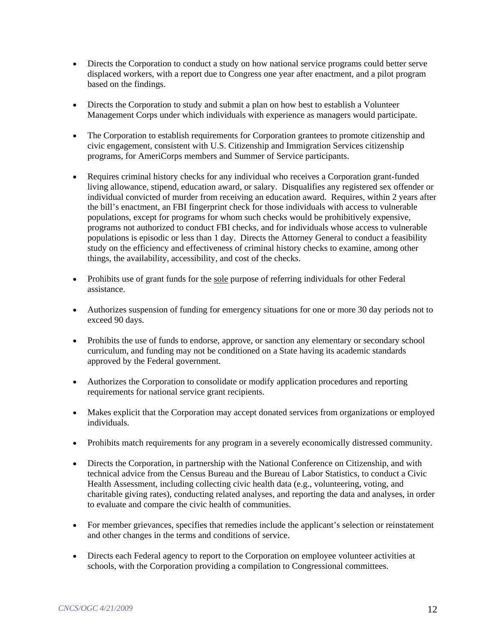- Directs the Corporation to conduct a study on how national service programs could better serve displaced workers, with a report due to Congress one year after enactment, and a pilot program based on the findings.
- Directs the Corporation to study and submit a plan on how best to establish a Volunteer Management Corps under which individuals with experience as managers would participate.
- The Corporation to establish requirements for Corporation grantees to promote citizenship and civic engagement, consistent with U.S. Citizenship and Immigration Services citizenship programs, for AmeriCorps members and Summer of Service participants.
- Requires criminal history checks for any individual who receives a Corporation grant-funded living allowance, stipend, education award, or salary. Disqualifies any registered sex offender or individual convicted of murder from receiving an education award. Requires, within 2 years after the bill's enactment, an FBI fingerprint check for those individuals with access to vulnerable populations, except for programs for whom such checks would be prohibitively expensive, programs not authorized to conduct FBI checks, and for individuals whose access to vulnerable populations is episodic or less than 1 day. Directs the Attorney General to conduct a feasibility study on the efficiency and effectiveness of criminal history checks to examine, among other things, the availability, accessibility, and cost of the checks.
- Prohibits use of grant funds for the sole purpose of referring individuals for other Federal assistance.
- Authorizes suspension of funding for emergency situations for one or more 30 day periods not to exceed 90 days.
- Prohibits the use of funds to endorse, approve, or sanction any elementary or secondary school curriculum, and funding may not be conditioned on a State having its academic standards approved by the Federal government.
- Authorizes the Corporation to consolidate or modify application procedures and reporting requirements for national service grant recipients.
- Makes explicit that the Corporation may accept donated services from organizations or employed individuals.
- Prohibits match requirements for any program in a severely economically distressed community.
- Directs the Corporation, in partnership with the National Conference on Citizenship, and with technical advice from the Census Bureau and the Bureau of Labor Statistics, to conduct a Civic Health Assessment, including collecting civic health data (e.g., volunteering, voting, and charitable giving rates), conducting related analyses, and reporting the data and analyses, in order to evaluate and compare the civic health of communities.
- For member grievances, specifies that remedies include the applicant's selection or reinstatement and other changes in the terms and conditions of service.
- Directs each Federal agency to report to the Corporation on employee volunteer activities at schools, with the Corporation providing a compilation to Congressional committees.